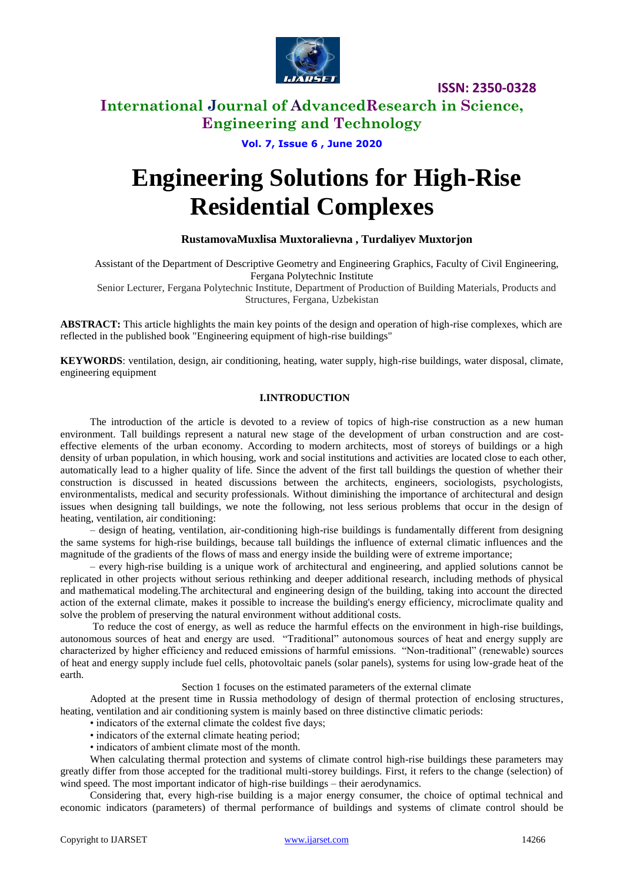

### **International Journal of AdvancedResearch in Science, Engineering and Technology**

### **Vol. 7, Issue 6 , June 2020**

# **Engineering Solutions for High-Rise Residential Complexes**

### **RustamovaMuxlisa Muxtoralievna , Turdaliyev Muxtorjon**

Assistant of the Department of Descriptive Geometry and Engineering Graphics, Faculty of Civil Engineering, Fergana Polytechnic Institute

Senior Lecturer, Fergana Polytechnic Institute, Department of Production of Building Materials, Products and Structures, Fergana, Uzbekistan

**ABSTRACT:** This article highlights the main key points of the design and operation of high-rise complexes, which are reflected in the published book "Engineering equipment of high-rise buildings"

**KEYWORDS**: ventilation, design, air conditioning, heating, water supply, high-rise buildings, water disposal, climate, engineering equipment

### **I.INTRODUCTION**

The introduction of the article is devoted to a review of topics of high-rise construction as a new human environment. Tall buildings represent a natural new stage of the development of urban construction and are costeffective elements of the urban economy. According to modern architects, most of storeys of buildings or a high density of urban population, in which housing, work and social institutions and activities are located close to each other, automatically lead to a higher quality of life. Since the advent of the first tall buildings the question of whether their construction is discussed in heated discussions between the architects, engineers, sociologists, psychologists, environmentalists, medical and security professionals. Without diminishing the importance of architectural and design issues when designing tall buildings, we note the following, not less serious problems that occur in the design of heating, ventilation, air conditioning:

– design of heating, ventilation, air-conditioning high-rise buildings is fundamentally different from designing the same systems for high-rise buildings, because tall buildings the influence of external climatic influences and the magnitude of the gradients of the flows of mass and energy inside the building were of extreme importance;

– every high-rise building is a unique work of architectural and engineering, and applied solutions cannot be replicated in other projects without serious rethinking and deeper additional research, including methods of physical and mathematical modeling.The architectural and engineering design of the building, taking into account the directed action of the external climate, makes it possible to increase the building's energy efficiency, microclimate quality and solve the problem of preserving the natural environment without additional costs.

To reduce the cost of energy, as well as reduce the harmful effects on the environment in high-rise buildings, autonomous sources of heat and energy are used. "Traditional" autonomous sources of heat and energy supply are characterized by higher efficiency and reduced emissions of harmful emissions. "Non-traditional" (renewable) sources of heat and energy supply include fuel cells, photovoltaic panels (solar panels), systems for using low-grade heat of the earth.

#### Section 1 focuses on the estimated parameters of the external climate

Adopted at the present time in Russia methodology of design of thermal protection of enclosing structures, heating, ventilation and air conditioning system is mainly based on three distinctive climatic periods:

- indicators of the external climate the coldest five days;
- indicators of the external climate heating period;
- indicators of ambient climate most of the month.

When calculating thermal protection and systems of climate control high-rise buildings these parameters may greatly differ from those accepted for the traditional multi-storey buildings. First, it refers to the change (selection) of wind speed. The most important indicator of high-rise buildings – their aerodynamics.

Considering that, every high-rise building is a major energy consumer, the choice of optimal technical and economic indicators (parameters) of thermal performance of buildings and systems of climate control should be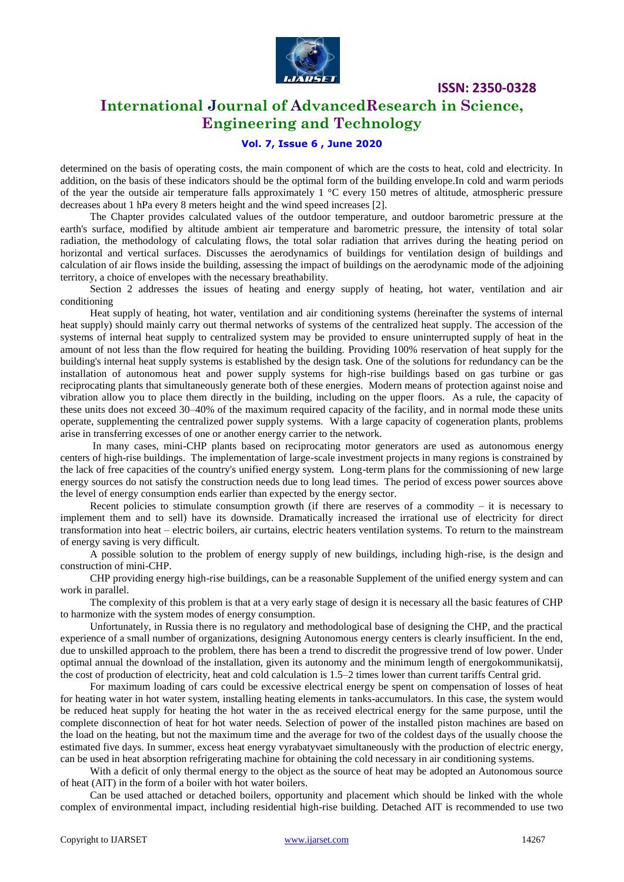

### **International Journal of AdvancedResearch in Science, Engineering and Technology**

### **Vol. 7, Issue 6 , June 2020**

determined on the basis of operating costs, the main component of which are the costs to heat, cold and electricity. In addition, on the basis of these indicators should be the optimal form of the building envelope.In cold and warm periods of the year the outside air temperature falls approximately  $1 \degree C$  every 150 metres of altitude, atmospheric pressure decreases about 1 hPa every 8 meters height and the wind speed increases [2].

The Chapter provides calculated values of the outdoor temperature, and outdoor barometric pressure at the earth's surface, modified by altitude ambient air temperature and barometric pressure, the intensity of total solar radiation, the methodology of calculating flows, the total solar radiation that arrives during the heating period on horizontal and vertical surfaces. Discusses the aerodynamics of buildings for ventilation design of buildings and calculation of air flows inside the building, assessing the impact of buildings on the aerodynamic mode of the adjoining territory, a choice of envelopes with the necessary breathability.

Section 2 addresses the issues of heating and energy supply of heating, hot water, ventilation and air conditioning

Heat supply of heating, hot water, ventilation and air conditioning systems (hereinafter the systems of internal heat supply) should mainly carry out thermal networks of systems of the centralized heat supply. The accession of the systems of internal heat supply to centralized system may be provided to ensure uninterrupted supply of heat in the amount of not less than the flow required for heating the building. Providing 100% reservation of heat supply for the building's internal heat supply systems is established by the design task. One of the solutions for redundancy can be the installation of autonomous heat and power supply systems for high-rise buildings based on gas turbine or gas reciprocating plants that simultaneously generate both of these energies. Modern means of protection against noise and vibration allow you to place them directly in the building, including on the upper floors. As a rule, the capacity of these units does not exceed 30–40% of the maximum required capacity of the facility, and in normal mode these units operate, supplementing the centralized power supply systems. With a large capacity of cogeneration plants, problems arise in transferring excesses of one or another energy carrier to the network.

In many cases, mini-CHP plants based on reciprocating motor generators are used as autonomous energy centers of high-rise buildings. The implementation of large-scale investment projects in many regions is constrained by the lack of free capacities of the country's unified energy system. Long-term plans for the commissioning of new large energy sources do not satisfy the construction needs due to long lead times. The period of excess power sources above the level of energy consumption ends earlier than expected by the energy sector.

Recent policies to stimulate consumption growth (if there are reserves of a commodity – it is necessary to implement them and to sell) have its downside. Dramatically increased the irrational use of electricity for direct transformation into heat – electric boilers, air curtains, electric heaters ventilation systems. To return to the mainstream of energy saving is very difficult.

A possible solution to the problem of energy supply of new buildings, including high-rise, is the design and construction of mini-CHP.

CHP providing energy high-rise buildings, can be a reasonable Supplement of the unified energy system and can work in parallel.

The complexity of this problem is that at a very early stage of design it is necessary all the basic features of CHP to harmonize with the system modes of energy consumption.

Unfortunately, in Russia there is no regulatory and methodological base of designing the CHP, and the practical experience of a small number of organizations, designing Autonomous energy centers is clearly insufficient. In the end, due to unskilled approach to the problem, there has been a trend to discredit the progressive trend of low power. Under optimal annual the download of the installation, given its autonomy and the minimum length of energokommunikatsij, the cost of production of electricity, heat and cold calculation is 1.5–2 times lower than current tariffs Central grid.

For maximum loading of cars could be excessive electrical energy be spent on compensation of losses of heat for heating water in hot water system, installing heating elements in tanks-accumulators. In this case, the system would be reduced heat supply for heating the hot water in the as received electrical energy for the same purpose, until the complete disconnection of heat for hot water needs. Selection of power of the installed piston machines are based on the load on the heating, but not the maximum time and the average for two of the coldest days of the usually choose the estimated five days. In summer, excess heat energy vyrabatyvaet simultaneously with the production of electric energy, can be used in heat absorption refrigerating machine for obtaining the cold necessary in air conditioning systems.

With a deficit of only thermal energy to the object as the source of heat may be adopted an Autonomous source of heat (AIT) in the form of a boiler with hot water boilers.

Can be used attached or detached boilers, opportunity and placement which should be linked with the whole complex of environmental impact, including residential high-rise building. Detached AIT is recommended to use two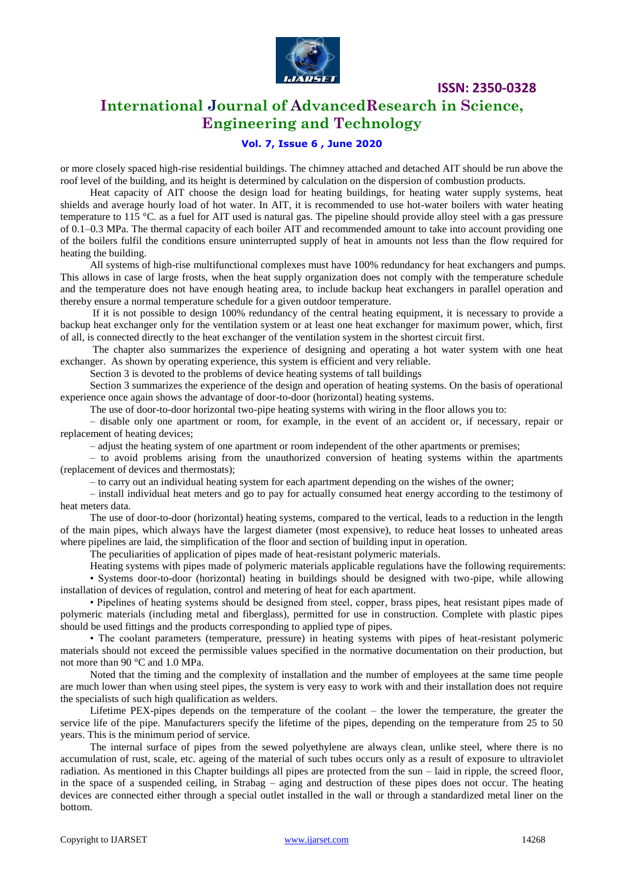

### **International Journal of AdvancedResearch in Science, Engineering and Technology**

### **Vol. 7, Issue 6 , June 2020**

or more closely spaced high-rise residential buildings. The chimney attached and detached AIT should be run above the roof level of the building, and its height is determined by calculation on the dispersion of combustion products.

Heat capacity of AIT choose the design load for heating buildings, for heating water supply systems, heat shields and average hourly load of hot water. In AIT, it is recommended to use hot-water boilers with water heating temperature to 115 °C. as a fuel for AIT used is natural gas. The pipeline should provide alloy steel with a gas pressure of 0.1–0.3 MPa. The thermal capacity of each boiler AIT and recommended amount to take into account providing one of the boilers fulfil the conditions ensure uninterrupted supply of heat in amounts not less than the flow required for heating the building.

All systems of high-rise multifunctional complexes must have 100% redundancy for heat exchangers and pumps. This allows in case of large frosts, when the heat supply organization does not comply with the temperature schedule and the temperature does not have enough heating area, to include backup heat exchangers in parallel operation and thereby ensure a normal temperature schedule for a given outdoor temperature.

If it is not possible to design 100% redundancy of the central heating equipment, it is necessary to provide a backup heat exchanger only for the ventilation system or at least one heat exchanger for maximum power, which, first of all, is connected directly to the heat exchanger of the ventilation system in the shortest circuit first.

The chapter also summarizes the experience of designing and operating a hot water system with one heat exchanger. As shown by operating experience, this system is efficient and very reliable.

Section 3 is devoted to the problems of device heating systems of tall buildings

Section 3 summarizes the experience of the design and operation of heating systems. On the basis of operational experience once again shows the advantage of door-to-door (horizontal) heating systems.

The use of door-to-door horizontal two-pipe heating systems with wiring in the floor allows you to:

– disable only one apartment or room, for example, in the event of an accident or, if necessary, repair or replacement of heating devices;

– adjust the heating system of one apartment or room independent of the other apartments or premises;

– to avoid problems arising from the unauthorized conversion of heating systems within the apartments (replacement of devices and thermostats);

– to carry out an individual heating system for each apartment depending on the wishes of the owner;

– install individual heat meters and go to pay for actually consumed heat energy according to the testimony of heat meters data.

The use of door-to-door (horizontal) heating systems, compared to the vertical, leads to a reduction in the length of the main pipes, which always have the largest diameter (most expensive), to reduce heat losses to unheated areas where pipelines are laid, the simplification of the floor and section of building input in operation.

The peculiarities of application of pipes made of heat-resistant polymeric materials.

Heating systems with pipes made of polymeric materials applicable regulations have the following requirements: • Systems door-to-door (horizontal) heating in buildings should be designed with two-pipe, while allowing installation of devices of regulation, control and metering of heat for each apartment.

• Pipelines of heating systems should be designed from steel, copper, brass pipes, heat resistant pipes made of polymeric materials (including metal and fiberglass), permitted for use in construction. Complete with plastic pipes should be used fittings and the products corresponding to applied type of pipes.

• The coolant parameters (temperature, pressure) in heating systems with pipes of heat-resistant polymeric materials should not exceed the permissible values specified in the normative documentation on their production, but not more than 90 °C and 1.0 MPa.

Noted that the timing and the complexity of installation and the number of employees at the same time people are much lower than when using steel pipes, the system is very easy to work with and their installation does not require the specialists of such high qualification as welders.

Lifetime PEX-pipes depends on the temperature of the coolant – the lower the temperature, the greater the service life of the pipe. Manufacturers specify the lifetime of the pipes, depending on the temperature from 25 to 50 years. This is the minimum period of service.

The internal surface of pipes from the sewed polyethylene are always clean, unlike steel, where there is no accumulation of rust, scale, etc. ageing of the material of such tubes occurs only as a result of exposure to ultraviolet radiation. As mentioned in this Chapter buildings all pipes are protected from the sun – laid in ripple, the screed floor, in the space of a suspended ceiling, in Strabag – aging and destruction of these pipes does not occur. The heating devices are connected either through a special outlet installed in the wall or through a standardized metal liner on the bottom.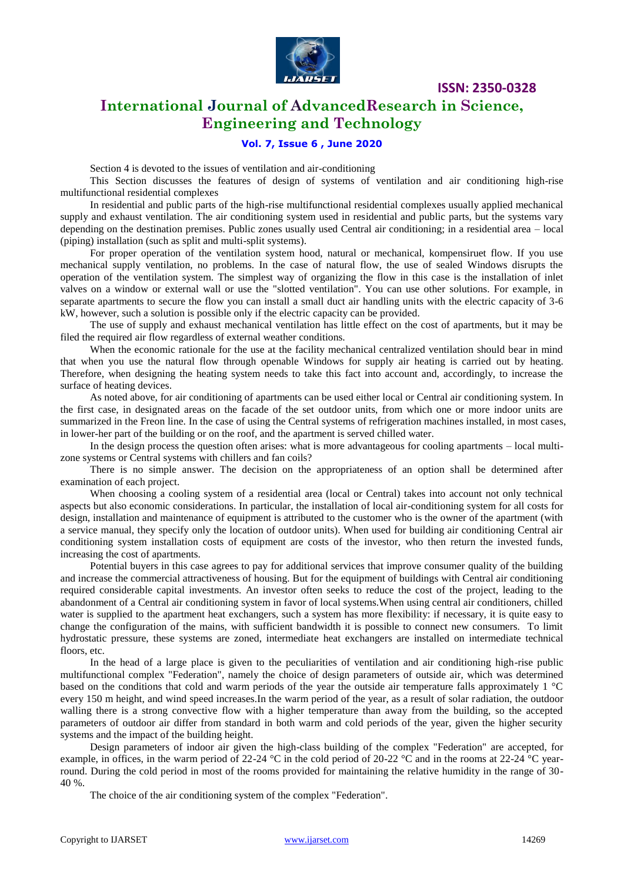

# **International Journal of AdvancedResearch in Science, Engineering and Technology**

### **Vol. 7, Issue 6 , June 2020**

Section 4 is devoted to the issues of ventilation and air-conditioning

This Section discusses the features of design of systems of ventilation and air conditioning high-rise multifunctional residential complexes

In residential and public parts of the high-rise multifunctional residential complexes usually applied mechanical supply and exhaust ventilation. The air conditioning system used in residential and public parts, but the systems vary depending on the destination premises. Public zones usually used Central air conditioning; in a residential area – local (piping) installation (such as split and multi-split systems).

For proper operation of the ventilation system hood, natural or mechanical, kompensiruet flow. If you use mechanical supply ventilation, no problems. In the case of natural flow, the use of sealed Windows disrupts the operation of the ventilation system. The simplest way of organizing the flow in this case is the installation of inlet valves on a window or external wall or use the "slotted ventilation". You can use other solutions. For example, in separate apartments to secure the flow you can install a small duct air handling units with the electric capacity of 3-6 kW, however, such a solution is possible only if the electric capacity can be provided.

The use of supply and exhaust mechanical ventilation has little effect on the cost of apartments, but it may be filed the required air flow regardless of external weather conditions.

When the economic rationale for the use at the facility mechanical centralized ventilation should bear in mind that when you use the natural flow through openable Windows for supply air heating is carried out by heating. Therefore, when designing the heating system needs to take this fact into account and, accordingly, to increase the surface of heating devices.

As noted above, for air conditioning of apartments can be used either local or Central air conditioning system. In the first case, in designated areas on the facade of the set outdoor units, from which one or more indoor units are summarized in the Freon line. In the case of using the Central systems of refrigeration machines installed, in most cases, in lower-her part of the building or on the roof, and the apartment is served chilled water.

In the design process the question often arises: what is more advantageous for cooling apartments – local multizone systems or Central systems with chillers and fan coils?

There is no simple answer. The decision on the appropriateness of an option shall be determined after examination of each project.

When choosing a cooling system of a residential area (local or Central) takes into account not only technical aspects but also economic considerations. In particular, the installation of local air-conditioning system for all costs for design, installation and maintenance of equipment is attributed to the customer who is the owner of the apartment (with a service manual, they specify only the location of outdoor units). When used for building air conditioning Central air conditioning system installation costs of equipment are costs of the investor, who then return the invested funds, increasing the cost of apartments.

Potential buyers in this case agrees to pay for additional services that improve consumer quality of the building and increase the commercial attractiveness of housing. But for the equipment of buildings with Central air conditioning required considerable capital investments. An investor often seeks to reduce the cost of the project, leading to the abandonment of a Central air conditioning system in favor of local systems.When using central air conditioners, chilled water is supplied to the apartment heat exchangers, such a system has more flexibility: if necessary, it is quite easy to change the configuration of the mains, with sufficient bandwidth it is possible to connect new consumers. To limit hydrostatic pressure, these systems are zoned, intermediate heat exchangers are installed on intermediate technical floors, etc.

In the head of a large place is given to the peculiarities of ventilation and air conditioning high-rise public multifunctional complex "Federation", namely the choice of design parameters of outside air, which was determined based on the conditions that cold and warm periods of the year the outside air temperature falls approximately 1 °C every 150 m height, and wind speed increases.In the warm period of the year, as a result of solar radiation, the outdoor walling there is a strong convective flow with a higher temperature than away from the building, so the accepted parameters of outdoor air differ from standard in both warm and cold periods of the year, given the higher security systems and the impact of the building height.

Design parameters of indoor air given the high-class building of the complex "Federation" are accepted, for example, in offices, in the warm period of 22-24 °C in the cold period of 20-22 °C and in the rooms at 22-24 °C yearround. During the cold period in most of the rooms provided for maintaining the relative humidity in the range of 30- 40 %.

The choice of the air conditioning system of the complex "Federation".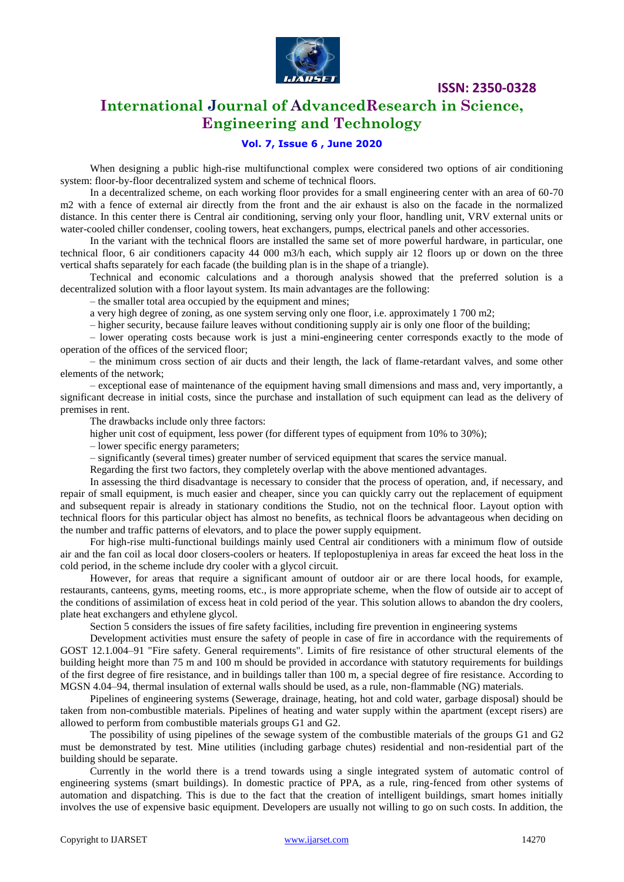

# **International Journal of AdvancedResearch in Science, Engineering and Technology**

### **Vol. 7, Issue 6 , June 2020**

When designing a public high-rise multifunctional complex were considered two options of air conditioning system: floor-by-floor decentralized system and scheme of technical floors.

In a decentralized scheme, on each working floor provides for a small engineering center with an area of 60-70 m2 with a fence of external air directly from the front and the air exhaust is also on the facade in the normalized distance. In this center there is Central air conditioning, serving only your floor, handling unit, VRV external units or water-cooled chiller condenser, cooling towers, heat exchangers, pumps, electrical panels and other accessories.

In the variant with the technical floors are installed the same set of more powerful hardware, in particular, one technical floor, 6 air conditioners capacity 44 000 m3/h each, which supply air 12 floors up or down on the three vertical shafts separately for each facade (the building plan is in the shape of a triangle).

Technical and economic calculations and a thorough analysis showed that the preferred solution is a decentralized solution with a floor layout system. Its main advantages are the following:

– the smaller total area occupied by the equipment and mines;

a very high degree of zoning, as one system serving only one floor, i.e. approximately 1 700 m2;

– higher security, because failure leaves without conditioning supply air is only one floor of the building;

– lower operating costs because work is just a mini-engineering center corresponds exactly to the mode of operation of the offices of the serviced floor;

– the minimum cross section of air ducts and their length, the lack of flame-retardant valves, and some other elements of the network;

– exceptional ease of maintenance of the equipment having small dimensions and mass and, very importantly, a significant decrease in initial costs, since the purchase and installation of such equipment can lead as the delivery of premises in rent.

The drawbacks include only three factors:

higher unit cost of equipment, less power (for different types of equipment from 10% to 30%);

– lower specific energy parameters;

– significantly (several times) greater number of serviced equipment that scares the service manual.

Regarding the first two factors, they completely overlap with the above mentioned advantages.

In assessing the third disadvantage is necessary to consider that the process of operation, and, if necessary, and repair of small equipment, is much easier and cheaper, since you can quickly carry out the replacement of equipment and subsequent repair is already in stationary conditions the Studio, not on the technical floor. Layout option with technical floors for this particular object has almost no benefits, as technical floors be advantageous when deciding on the number and traffic patterns of elevators, and to place the power supply equipment.

For high-rise multi-functional buildings mainly used Central air conditioners with a minimum flow of outside air and the fan coil as local door closers-coolers or heaters. If teplopostupleniya in areas far exceed the heat loss in the cold period, in the scheme include dry cooler with a glycol circuit.

However, for areas that require a significant amount of outdoor air or are there local hoods, for example, restaurants, canteens, gyms, meeting rooms, etc., is more appropriate scheme, when the flow of outside air to accept of the conditions of assimilation of excess heat in cold period of the year. This solution allows to abandon the dry coolers, plate heat exchangers and ethylene glycol.

Section 5 considers the issues of fire safety facilities, including fire prevention in engineering systems

Development activities must ensure the safety of people in case of fire in accordance with the requirements of GOST 12.1.004–91 "Fire safety. General requirements". Limits of fire resistance of other structural elements of the building height more than 75 m and 100 m should be provided in accordance with statutory requirements for buildings of the first degree of fire resistance, and in buildings taller than 100 m, a special degree of fire resistance. According to MGSN 4.04–94, thermal insulation of external walls should be used, as a rule, non-flammable (NG) materials.

Pipelines of engineering systems (Sewerage, drainage, heating, hot and cold water, garbage disposal) should be taken from non-combustible materials. Pipelines of heating and water supply within the apartment (except risers) are allowed to perform from combustible materials groups G1 and G2.

The possibility of using pipelines of the sewage system of the combustible materials of the groups G1 and G2 must be demonstrated by test. Mine utilities (including garbage chutes) residential and non-residential part of the building should be separate.

Currently in the world there is a trend towards using a single integrated system of automatic control of engineering systems (smart buildings). In domestic practice of PPA, as a rule, ring-fenced from other systems of automation and dispatching. This is due to the fact that the creation of intelligent buildings, smart homes initially involves the use of expensive basic equipment. Developers are usually not willing to go on such costs. In addition, the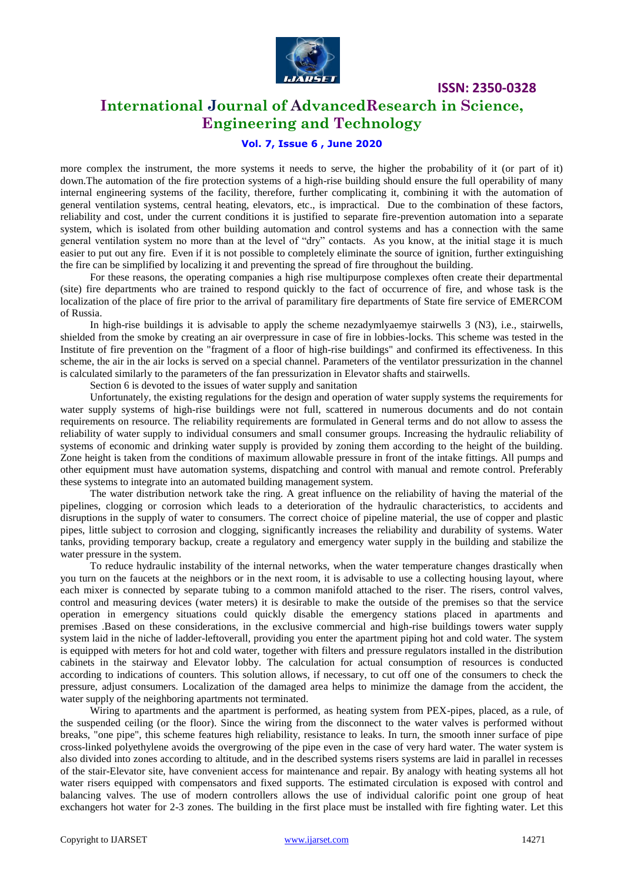

### **International Journal of AdvancedResearch in Science, Engineering and Technology**

#### **Vol. 7, Issue 6 , June 2020**

more complex the instrument, the more systems it needs to serve, the higher the probability of it (or part of it) down.The automation of the fire protection systems of a high-rise building should ensure the full operability of many internal engineering systems of the facility, therefore, further complicating it, combining it with the automation of general ventilation systems, central heating, elevators, etc., is impractical. Due to the combination of these factors, reliability and cost, under the current conditions it is justified to separate fire-prevention automation into a separate system, which is isolated from other building automation and control systems and has a connection with the same general ventilation system no more than at the level of "dry" contacts. As you know, at the initial stage it is much easier to put out any fire. Even if it is not possible to completely eliminate the source of ignition, further extinguishing the fire can be simplified by localizing it and preventing the spread of fire throughout the building.

For these reasons, the operating companies a high rise multipurpose complexes often create their departmental (site) fire departments who are trained to respond quickly to the fact of occurrence of fire, and whose task is the localization of the place of fire prior to the arrival of paramilitary fire departments of State fire service of EMERCOM of Russia.

In high-rise buildings it is advisable to apply the scheme nezadymlyaemye stairwells 3 (N3), i.e., stairwells, shielded from the smoke by creating an air overpressure in case of fire in lobbies-locks. This scheme was tested in the Institute of fire prevention on the "fragment of a floor of high-rise buildings" and confirmed its effectiveness. In this scheme, the air in the air locks is served on a special channel. Parameters of the ventilator pressurization in the channel is calculated similarly to the parameters of the fan pressurization in Elevator shafts and stairwells.

Section 6 is devoted to the issues of water supply and sanitation

Unfortunately, the existing regulations for the design and operation of water supply systems the requirements for water supply systems of high-rise buildings were not full, scattered in numerous documents and do not contain requirements on resource. The reliability requirements are formulated in General terms and do not allow to assess the reliability of water supply to individual consumers and small consumer groups. Increasing the hydraulic reliability of systems of economic and drinking water supply is provided by zoning them according to the height of the building. Zone height is taken from the conditions of maximum allowable pressure in front of the intake fittings. All pumps and other equipment must have automation systems, dispatching and control with manual and remote control. Preferably these systems to integrate into an automated building management system.

The water distribution network take the ring. A great influence on the reliability of having the material of the pipelines, clogging or corrosion which leads to a deterioration of the hydraulic characteristics, to accidents and disruptions in the supply of water to consumers. The correct choice of pipeline material, the use of copper and plastic pipes, little subject to corrosion and clogging, significantly increases the reliability and durability of systems. Water tanks, providing temporary backup, create a regulatory and emergency water supply in the building and stabilize the water pressure in the system.

To reduce hydraulic instability of the internal networks, when the water temperature changes drastically when you turn on the faucets at the neighbors or in the next room, it is advisable to use a collecting housing layout, where each mixer is connected by separate tubing to a common manifold attached to the riser. The risers, control valves, control and measuring devices (water meters) it is desirable to make the outside of the premises so that the service operation in emergency situations could quickly disable the emergency stations placed in apartments and premises .Based on these considerations, in the exclusive commercial and high-rise buildings towers water supply system laid in the niche of ladder-leftoverall, providing you enter the apartment piping hot and cold water. The system is equipped with meters for hot and cold water, together with filters and pressure regulators installed in the distribution cabinets in the stairway and Elevator lobby. The calculation for actual consumption of resources is conducted according to indications of counters. This solution allows, if necessary, to cut off one of the consumers to check the pressure, adjust consumers. Localization of the damaged area helps to minimize the damage from the accident, the water supply of the neighboring apartments not terminated.

Wiring to apartments and the apartment is performed, as heating system from PEX-pipes, placed, as a rule, of the suspended ceiling (or the floor). Since the wiring from the disconnect to the water valves is performed without breaks, "one pipe", this scheme features high reliability, resistance to leaks. In turn, the smooth inner surface of pipe cross-linked polyethylene avoids the overgrowing of the pipe even in the case of very hard water. The water system is also divided into zones according to altitude, and in the described systems risers systems are laid in parallel in recesses of the stair-Elevator site, have convenient access for maintenance and repair. By analogy with heating systems all hot water risers equipped with compensators and fixed supports. The estimated circulation is exposed with control and balancing valves. The use of modern controllers allows the use of individual calorific point one group of heat exchangers hot water for 2-3 zones. The building in the first place must be installed with fire fighting water. Let this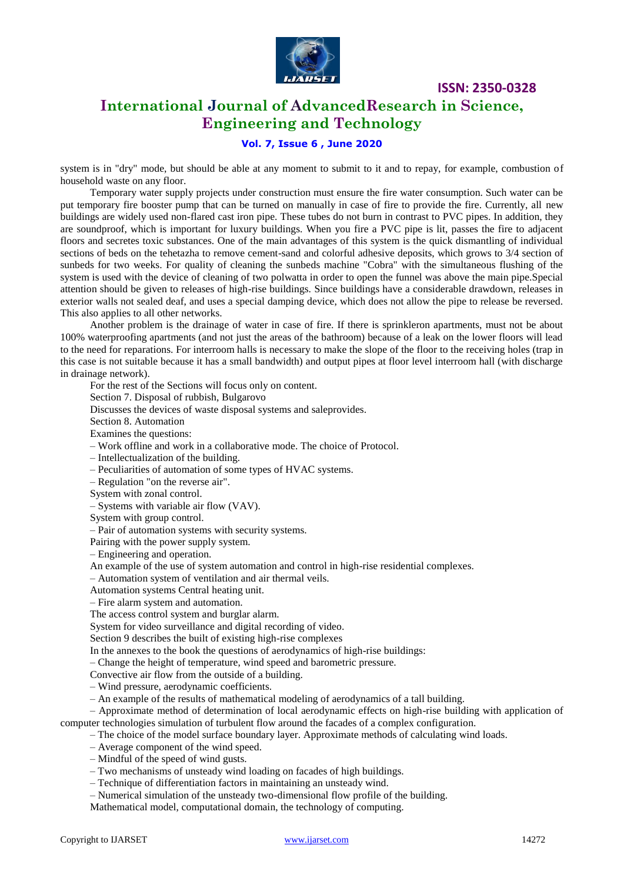

### **International Journal of AdvancedResearch in Science, Engineering and Technology**

### **Vol. 7, Issue 6 , June 2020**

system is in "dry" mode, but should be able at any moment to submit to it and to repay, for example, combustion of household waste on any floor.

Temporary water supply projects under construction must ensure the fire water consumption. Such water can be put temporary fire booster pump that can be turned on manually in case of fire to provide the fire. Currently, all new buildings are widely used non-flared cast iron pipe. These tubes do not burn in contrast to PVC pipes. In addition, they are soundproof, which is important for luxury buildings. When you fire a PVC pipe is lit, passes the fire to adjacent floors and secretes toxic substances. One of the main advantages of this system is the quick dismantling of individual sections of beds on the tehetazha to remove cement-sand and colorful adhesive deposits, which grows to 3/4 section of sunbeds for two weeks. For quality of cleaning the sunbeds machine "Cobra" with the simultaneous flushing of the system is used with the device of cleaning of two polwatta in order to open the funnel was above the main pipe.Special attention should be given to releases of high-rise buildings. Since buildings have a considerable drawdown, releases in exterior walls not sealed deaf, and uses a special damping device, which does not allow the pipe to release be reversed. This also applies to all other networks.

Another problem is the drainage of water in case of fire. If there is sprinkleron apartments, must not be about 100% waterproofing apartments (and not just the areas of the bathroom) because of a leak on the lower floors will lead to the need for reparations. For interroom halls is necessary to make the slope of the floor to the receiving holes (trap in this case is not suitable because it has a small bandwidth) and output pipes at floor level interroom hall (with discharge in drainage network).

For the rest of the Sections will focus only on content.

Section 7. Disposal of rubbish, Bulgarovo

Discusses the devices of waste disposal systems and saleprovides.

Section 8. Automation

Examines the questions:

– Work offline and work in a collaborative mode. The choice of Protocol.

– Intellectualization of the building.

– Peculiarities of automation of some types of HVAC systems.

– Regulation "on the reverse air".

System with zonal control.

– Systems with variable air flow (VAV).

System with group control.

– Pair of automation systems with security systems.

Pairing with the power supply system.

– Engineering and operation.

An example of the use of system automation and control in high-rise residential complexes.

– Automation system of ventilation and air thermal veils.

Automation systems Central heating unit.

– Fire alarm system and automation.

The access control system and burglar alarm.

System for video surveillance and digital recording of video.

Section 9 describes the built of existing high-rise complexes

In the annexes to the book the questions of aerodynamics of high-rise buildings:

– Change the height of temperature, wind speed and barometric pressure.

Convective air flow from the outside of a building.

– Wind pressure, aerodynamic coefficients.

– An example of the results of mathematical modeling of aerodynamics of a tall building.

– Approximate method of determination of local aerodynamic effects on high-rise building with application of computer technologies simulation of turbulent flow around the facades of a complex configuration.

– The choice of the model surface boundary layer. Approximate methods of calculating wind loads.

- Average component of the wind speed.
- Mindful of the speed of wind gusts.

– Two mechanisms of unsteady wind loading on facades of high buildings.

– Technique of differentiation factors in maintaining an unsteady wind.

– Numerical simulation of the unsteady two-dimensional flow profile of the building.

Mathematical model, computational domain, the technology of computing.